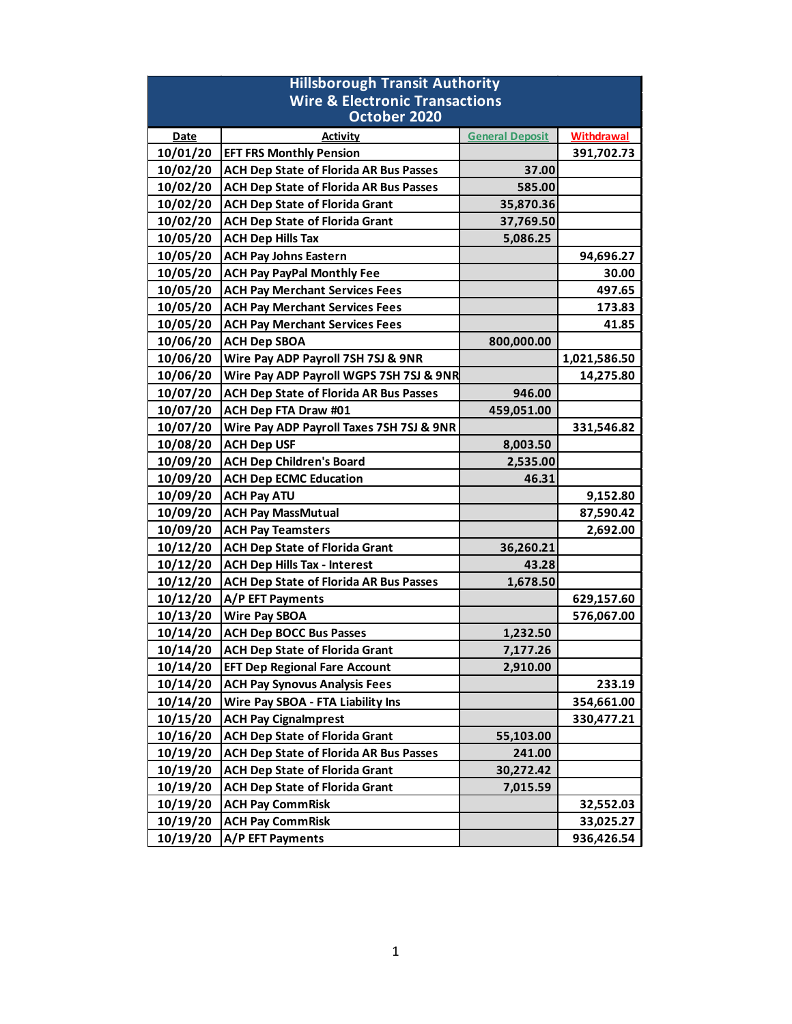| <b>Hillsborough Transit Authority</b>     |                                               |                        |                   |  |
|-------------------------------------------|-----------------------------------------------|------------------------|-------------------|--|
| <b>Wire &amp; Electronic Transactions</b> |                                               |                        |                   |  |
| October 2020                              |                                               |                        |                   |  |
| <b>Date</b>                               | <b>Activity</b>                               | <b>General Deposit</b> | <b>Withdrawal</b> |  |
| 10/01/20                                  | <b>EFT FRS Monthly Pension</b>                |                        | 391,702.73        |  |
| 10/02/20                                  | <b>ACH Dep State of Florida AR Bus Passes</b> | 37.00                  |                   |  |
| 10/02/20                                  | <b>ACH Dep State of Florida AR Bus Passes</b> | 585.00                 |                   |  |
| 10/02/20                                  | <b>ACH Dep State of Florida Grant</b>         | 35,870.36              |                   |  |
| 10/02/20                                  | <b>ACH Dep State of Florida Grant</b>         | 37,769.50              |                   |  |
| 10/05/20                                  | <b>ACH Dep Hills Tax</b>                      | 5,086.25               |                   |  |
| 10/05/20                                  | <b>ACH Pay Johns Eastern</b>                  |                        | 94,696.27         |  |
| 10/05/20                                  | <b>ACH Pay PayPal Monthly Fee</b>             |                        | 30.00             |  |
| 10/05/20                                  | <b>ACH Pay Merchant Services Fees</b>         |                        | 497.65            |  |
| 10/05/20                                  | <b>ACH Pay Merchant Services Fees</b>         |                        | 173.83            |  |
| 10/05/20                                  | <b>ACH Pay Merchant Services Fees</b>         |                        | 41.85             |  |
| 10/06/20                                  | <b>ACH Dep SBOA</b>                           | 800,000.00             |                   |  |
| 10/06/20                                  | Wire Pay ADP Payroll 7SH 7SJ & 9NR            |                        | 1,021,586.50      |  |
| 10/06/20                                  | Wire Pay ADP Payroll WGPS 7SH 7SJ & 9NR       |                        | 14,275.80         |  |
| 10/07/20                                  | <b>ACH Dep State of Florida AR Bus Passes</b> | 946.00                 |                   |  |
| 10/07/20                                  | ACH Dep FTA Draw #01                          | 459,051.00             |                   |  |
| 10/07/20                                  | Wire Pay ADP Payroll Taxes 7SH 7SJ & 9NR      |                        | 331,546.82        |  |
| 10/08/20                                  | <b>ACH Dep USF</b>                            | 8,003.50               |                   |  |
| 10/09/20                                  | <b>ACH Dep Children's Board</b>               | 2,535.00               |                   |  |
| 10/09/20                                  | <b>ACH Dep ECMC Education</b>                 | 46.31                  |                   |  |
| 10/09/20                                  | <b>ACH Pay ATU</b>                            |                        | 9,152.80          |  |
| 10/09/20                                  | <b>ACH Pay MassMutual</b>                     |                        | 87,590.42         |  |
| 10/09/20                                  | <b>ACH Pay Teamsters</b>                      |                        | 2,692.00          |  |
| 10/12/20                                  | <b>ACH Dep State of Florida Grant</b>         | 36,260.21              |                   |  |
| 10/12/20                                  | <b>ACH Dep Hills Tax - Interest</b>           | 43.28                  |                   |  |
| 10/12/20                                  | <b>ACH Dep State of Florida AR Bus Passes</b> | 1,678.50               |                   |  |
| 10/12/20                                  | A/P EFT Payments                              |                        | 629,157.60        |  |
| 10/13/20                                  | <b>Wire Pay SBOA</b>                          |                        | 576,067.00        |  |
| 10/14/20                                  | <b>ACH Dep BOCC Bus Passes</b>                | 1,232.50               |                   |  |
| 10/14/20                                  | <b>ACH Dep State of Florida Grant</b>         | 7,177.26               |                   |  |
| 10/14/20                                  | <b>EFT Dep Regional Fare Account</b>          | 2,910.00               |                   |  |
| 10/14/20                                  | <b>ACH Pay Synovus Analysis Fees</b>          |                        | 233.19            |  |
| 10/14/20                                  | Wire Pay SBOA - FTA Liability Ins             |                        | 354,661.00        |  |
| 10/15/20                                  | <b>ACH Pay Cignalmprest</b>                   |                        | 330,477.21        |  |
| 10/16/20                                  | <b>ACH Dep State of Florida Grant</b>         | 55,103.00              |                   |  |
| 10/19/20                                  | <b>ACH Dep State of Florida AR Bus Passes</b> | 241.00                 |                   |  |
| 10/19/20                                  | <b>ACH Dep State of Florida Grant</b>         | 30,272.42              |                   |  |
| 10/19/20                                  | <b>ACH Dep State of Florida Grant</b>         | 7,015.59               |                   |  |
| 10/19/20                                  | <b>ACH Pay CommRisk</b>                       |                        | 32,552.03         |  |
| 10/19/20                                  | <b>ACH Pay CommRisk</b>                       |                        | 33,025.27         |  |
| 10/19/20                                  | A/P EFT Payments                              |                        | 936,426.54        |  |